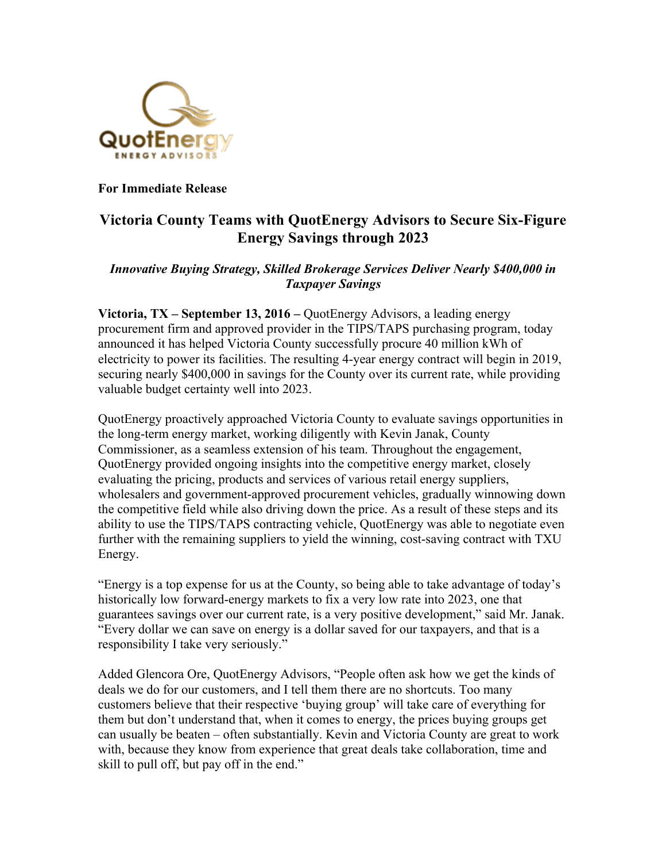

**For Immediate Release**

## **Victoria County Teams with QuotEnergy Advisors to Secure Six-Figure Energy Savings through 2023**

## *Innovative Buying Strategy, Skilled Brokerage Services Deliver Nearly \$400,000 in Taxpayer Savings*

**Victoria, TX – September 13, 2016 –** QuotEnergy Advisors, a leading energy procurement firm and approved provider in the TIPS/TAPS purchasing program, today announced it has helped Victoria County successfully procure 40 million kWh of electricity to power its facilities. The resulting 4-year energy contract will begin in 2019, securing nearly \$400,000 in savings for the County over its current rate, while providing valuable budget certainty well into 2023.

QuotEnergy proactively approached Victoria County to evaluate savings opportunities in the long-term energy market, working diligently with Kevin Janak, County Commissioner, as a seamless extension of his team. Throughout the engagement, QuotEnergy provided ongoing insights into the competitive energy market, closely evaluating the pricing, products and services of various retail energy suppliers, wholesalers and government-approved procurement vehicles, gradually winnowing down the competitive field while also driving down the price. As a result of these steps and its ability to use the TIPS/TAPS contracting vehicle, QuotEnergy was able to negotiate even further with the remaining suppliers to yield the winning, cost-saving contract with TXU Energy.

"Energy is a top expense for us at the County, so being able to take advantage of today's historically low forward-energy markets to fix a very low rate into 2023, one that guarantees savings over our current rate, is a very positive development," said Mr. Janak. "Every dollar we can save on energy is a dollar saved for our taxpayers, and that is a responsibility I take very seriously."

Added Glencora Ore, QuotEnergy Advisors, "People often ask how we get the kinds of deals we do for our customers, and I tell them there are no shortcuts. Too many customers believe that their respective 'buying group' will take care of everything for them but don't understand that, when it comes to energy, the prices buying groups get can usually be beaten – often substantially. Kevin and Victoria County are great to work with, because they know from experience that great deals take collaboration, time and skill to pull off, but pay off in the end."